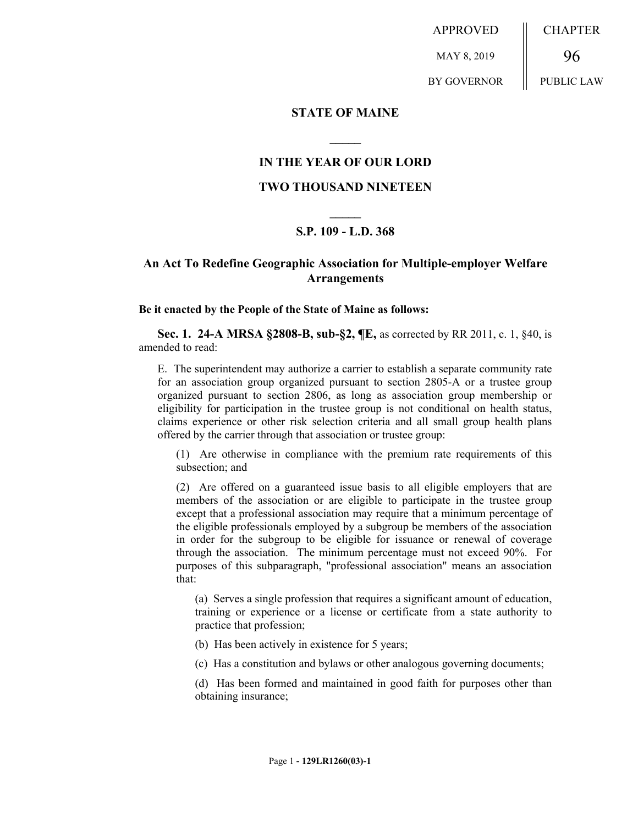APPROVED MAY 8, 2019 BY GOVERNOR CHAPTER 96 PUBLIC LAW

#### **STATE OF MAINE**

### **IN THE YEAR OF OUR LORD**

**\_\_\_\_\_**

#### **TWO THOUSAND NINETEEN**

# **\_\_\_\_\_ S.P. 109 - L.D. 368**

## **An Act To Redefine Geographic Association for Multiple-employer Welfare Arrangements**

**Be it enacted by the People of the State of Maine as follows:**

**Sec. 1. 24-A MRSA §2808-B, sub-§2, ¶E,** as corrected by RR 2011, c. 1, §40, is amended to read:

E. The superintendent may authorize a carrier to establish a separate community rate for an association group organized pursuant to section 2805-A or a trustee group organized pursuant to section 2806, as long as association group membership or eligibility for participation in the trustee group is not conditional on health status, claims experience or other risk selection criteria and all small group health plans offered by the carrier through that association or trustee group:

(1) Are otherwise in compliance with the premium rate requirements of this subsection; and

(2) Are offered on a guaranteed issue basis to all eligible employers that are members of the association or are eligible to participate in the trustee group except that a professional association may require that a minimum percentage of the eligible professionals employed by a subgroup be members of the association in order for the subgroup to be eligible for issuance or renewal of coverage through the association. The minimum percentage must not exceed 90%. For purposes of this subparagraph, "professional association" means an association that:

(a) Serves a single profession that requires a significant amount of education, training or experience or a license or certificate from a state authority to practice that profession;

(b) Has been actively in existence for 5 years;

(c) Has a constitution and bylaws or other analogous governing documents;

(d) Has been formed and maintained in good faith for purposes other than obtaining insurance;